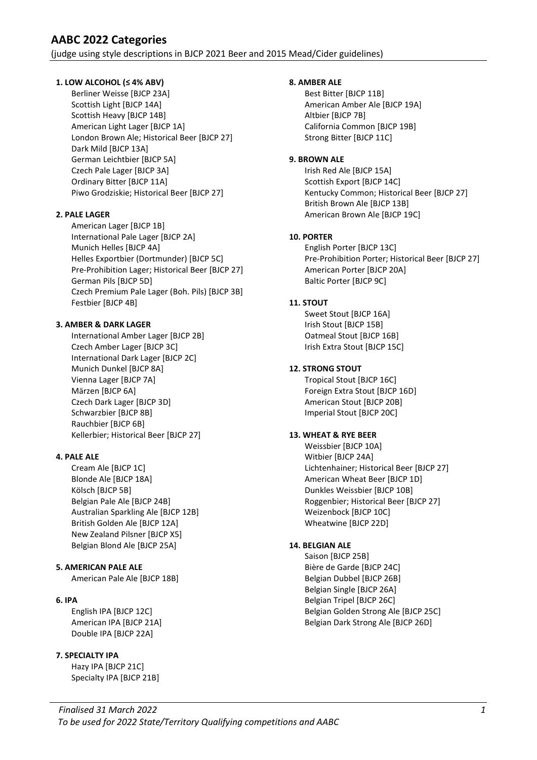(judge using style descriptions in BJCP 2021 Beer and 2015 Mead/Cider guidelines)

## 1. LOW ALCOHOL (≤ 4% ABV)

 Berliner Weisse [BJCP 23A] Scottish Light [BJCP 14A] Scottish Heavy [BJCP 14B] American Light Lager [BJCP 1A] London Brown Ale; Historical Beer [BJCP 27] Dark Mild [BJCP 13A] German Leichtbier [BJCP 5A] Czech Pale Lager [BJCP 3A] Ordinary Bitter [BJCP 11A] Piwo Grodziskie; Historical Beer [BJCP 27]

## 2. PALE LAGER

 American Lager [BJCP 1B] International Pale Lager [BJCP 2A] Munich Helles [BJCP 4A] Helles Exportbier (Dortmunder) [BJCP 5C] Pre-Prohibition Lager; Historical Beer [BJCP 27] German Pils [BJCP 5D] Czech Premium Pale Lager (Boh. Pils) [BJCP 3B] Festbier [BJCP 4B]

## 3. AMBER & DARK LAGER

 International Amber Lager [BJCP 2B] Czech Amber Lager [BJCP 3C] International Dark Lager [BJCP 2C] Munich Dunkel [BJCP 8A] Vienna Lager [BJCP 7A] Märzen [BJCP 6A] Czech Dark Lager [BJCP 3D] Schwarzbier [BJCP 8B] Rauchbier [BJCP 6B] Kellerbier; Historical Beer [BJCP 27]

#### 4. PALE ALE

 Cream Ale [BJCP 1C] Blonde Ale [BJCP 18A] Kölsch [BJCP 5B] Belgian Pale Ale [BJCP 24B] Australian Sparkling Ale [BJCP 12B] British Golden Ale [BJCP 12A] New Zealand Pilsner [BJCP X5] Belgian Blond Ale [BJCP 25A]

#### 5. AMERICAN PALE ALE

American Pale Ale [BJCP 18B]

#### 6. IPA

 English IPA [BJCP 12C] American IPA [BJCP 21A] Double IPA [BJCP 22A]

# 7. SPECIALTY IPA

 Hazy IPA [BJCP 21C] Specialty IPA [BJCP 21B]

#### 8. AMBER ALE

 Best Bitter [BJCP 11B] American Amber Ale [BJCP 19A] Altbier [BJCP 7B] California Common [BJCP 19B] Strong Bitter [BJCP 11C]

#### 9. BROWN ALE

 Irish Red Ale [BJCP 15A] Scottish Export [BJCP 14C] Kentucky Common; Historical Beer [BJCP 27] British Brown Ale [BJCP 13B] American Brown Ale [BJCP 19C]

## 10. PORTER

 English Porter [BJCP 13C] Pre-Prohibition Porter; Historical Beer [BJCP 27] American Porter [BJCP 20A] Baltic Porter [BJCP 9C]

## 11. STOUT

 Sweet Stout [BJCP 16A] Irish Stout [BJCP 15B] Oatmeal Stout [BJCP 16B] Irish Extra Stout [BJCP 15C]

## 12. STRONG STOUT

 Tropical Stout [BJCP 16C] Foreign Extra Stout [BJCP 16D] American Stout [BJCP 20B] Imperial Stout [BJCP 20C]

# 13. WHEAT & RYE BEER

 Weissbier [BJCP 10A] Witbier [BJCP 24A] Lichtenhainer; Historical Beer [BJCP 27] American Wheat Beer [BJCP 1D] Dunkles Weissbier [BJCP 10B] Roggenbier; Historical Beer [BJCP 27] Weizenbock [BJCP 10C] Wheatwine [BJCP 22D]

#### 14. BELGIAN ALE

 Saison [BJCP 25B] Bière de Garde [BJCP 24C] Belgian Dubbel [BJCP 26B] Belgian Single [BJCP 26A] Belgian Tripel [BJCP 26C] Belgian Golden Strong Ale [BJCP 25C] Belgian Dark Strong Ale [BJCP 26D]